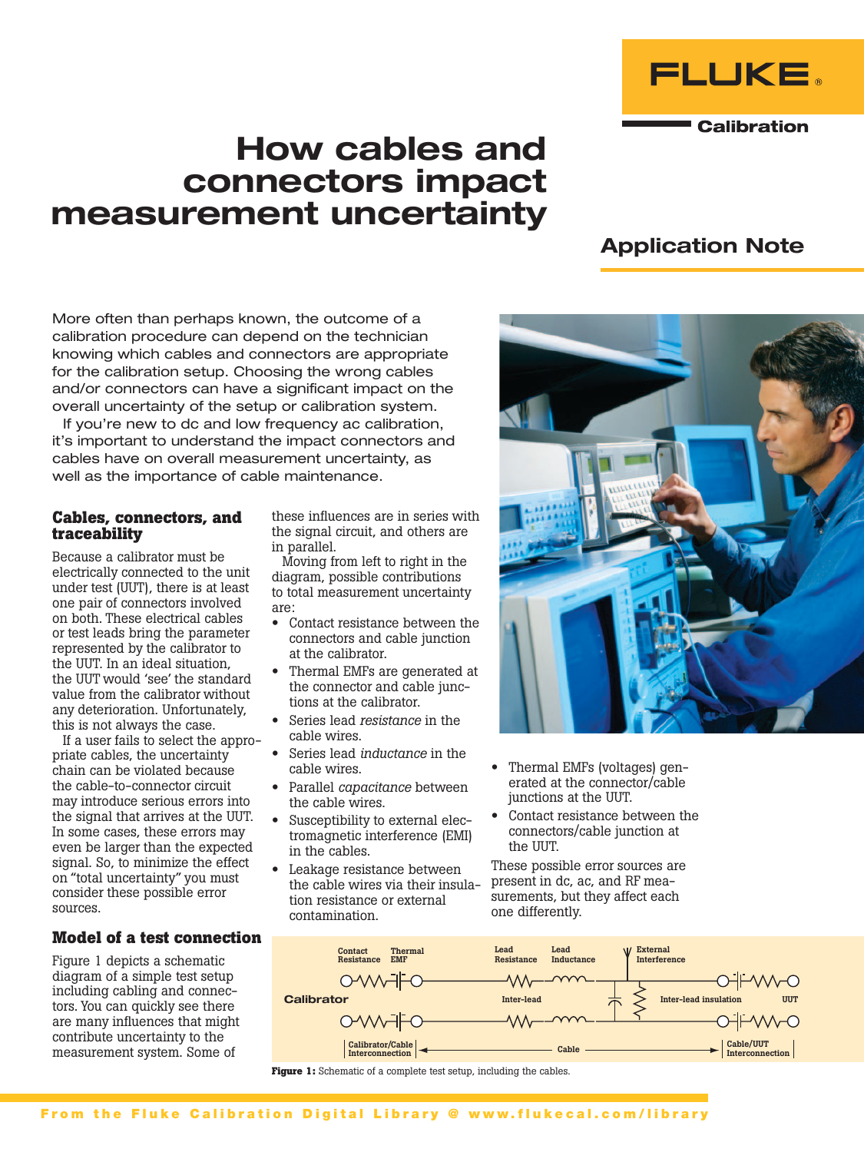

**Calibration** 

# How cables and connectors impact measurement uncertainty

## Application Note

More often than perhaps known, the outcome of a calibration procedure can depend on the technician knowing which cables and connectors are appropriate for the calibration setup. Choosing the wrong cables and/or connectors can have a significant impact on the overall uncertainty of the setup or calibration system.

If you're new to dc and low frequency ac calibration, it's important to understand the impact connectors and cables have on overall measurement uncertainty, as well as the importance of cable maintenance.

#### **Cables, connectors, and traceability**

Because a calibrator must be electrically connected to the unit under test (UUT), there is at least one pair of connectors involved on both. These electrical cables or test leads bring the parameter represented by the calibrator to the UUT. In an ideal situation, the UUT would 'see' the standard value from the calibrator without any deterioration. Unfortunately, this is not always the case.

If a user fails to select the appropriate cables, the uncertainty chain can be violated because the cable-to-connector circuit may introduce serious errors into the signal that arrives at the UUT. In some cases, these errors may even be larger than the expected signal. So, to minimize the effect on "total uncertainty" you must consider these possible error sources.

## **Model of a test connection**

Figure 1 depicts a schematic diagram of a simple test setup including cabling and connectors. You can quickly see there are many influences that might contribute uncertainty to the measurement system. Some of

these influences are in series with the signal circuit, and others are in parallel.

Moving from left to right in the diagram, possible contributions to total measurement uncertainty are:

- Contact resistance between the connectors and cable junction at the calibrator.
- Thermal EMFs are generated at the connector and cable junctions at the calibrator.
- Series lead *resistance* in the cable wires.
- Series lead *inductance* in the cable wires.
- Parallel *capacitance* between the cable wires.
- Susceptibility to external electromagnetic interference (EMI) in the cables.
- Leakage resistance between the cable wires via their insulation resistance or external contamination.
- Thermal EMFs (voltages) generated at the connector/cable junctions at the UUT.
- Contact resistance between the connectors/cable junction at the UUT.

These possible error sources are present in dc, ac, and RF measurements, but they affect each one differently.



**Figure 1:** Schematic of a complete test setup, including the cables.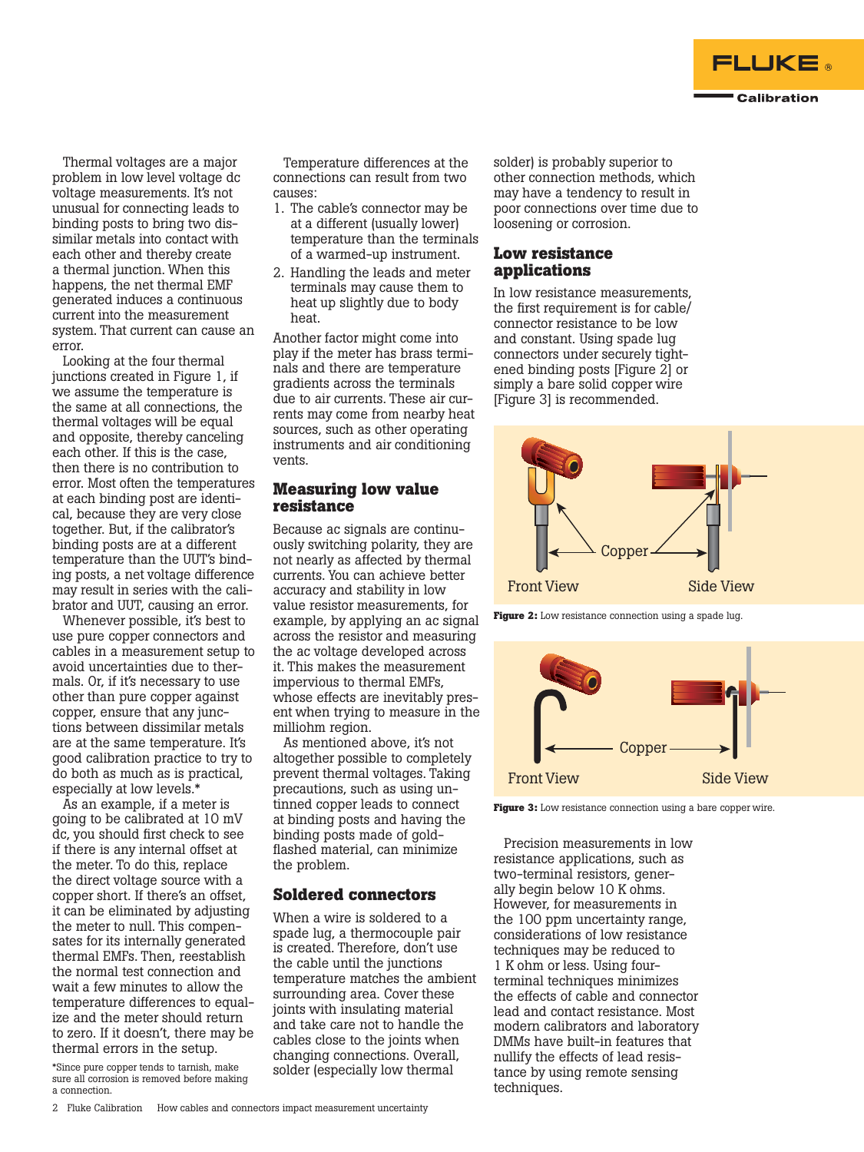

Thermal voltages are a major problem in low level voltage dc voltage measurements. It's not unusual for connecting leads to binding posts to bring two dissimilar metals into contact with each other and thereby create a thermal junction. When this happens, the net thermal EMF generated induces a continuous current into the measurement system. That current can cause an error.

Looking at the four thermal junctions created in Figure 1, if we assume the temperature is the same at all connections, the thermal voltages will be equal and opposite, thereby canceling each other. If this is the case, then there is no contribution to error. Most often the temperatures at each binding post are identical, because they are very close together. But, if the calibrator's binding posts are at a different temperature than the UUT's binding posts, a net voltage difference may result in series with the calibrator and UUT, causing an error.

Whenever possible, it's best to use pure copper connectors and cables in a measurement setup to avoid uncertainties due to thermals. Or, if it's necessary to use other than pure copper against copper, ensure that any junctions between dissimilar metals are at the same temperature. It's good calibration practice to try to do both as much as is practical, especially at low levels.\*

As an example, if a meter is going to be calibrated at 10 mV dc, you should first check to see if there is any internal offset at the meter. To do this, replace the direct voltage source with a copper short. If there's an offset, it can be eliminated by adjusting the meter to null. This compensates for its internally generated thermal EMFs. Then, reestablish the normal test connection and wait a few minutes to allow the temperature differences to equalize and the meter should return to zero. If it doesn't, there may be thermal errors in the setup.

\*Since pure copper tends to tarnish, make sure all corrosion is removed before making a connection.

Temperature differences at the connections can result from two causes:

- 1. The cable's connector may be at a different (usually lower) temperature than the terminals of a warmed-up instrument.
- 2. Handling the leads and meter terminals may cause them to heat up slightly due to body heat.

Another factor might come into play if the meter has brass terminals and there are temperature gradients across the terminals due to air currents. These air currents may come from nearby heat sources, such as other operating instruments and air conditioning vents.

#### **Measuring low value resistance**

Because ac signals are continuously switching polarity, they are not nearly as affected by thermal currents. You can achieve better accuracy and stability in low value resistor measurements, for example, by applying an ac signal across the resistor and measuring the ac voltage developed across it. This makes the measurement impervious to thermal EMFs, whose effects are inevitably present when trying to measure in the milliohm region.

As mentioned above, it's not altogether possible to completely prevent thermal voltages. Taking precautions, such as using untinned copper leads to connect at binding posts and having the binding posts made of goldflashed material, can minimize the problem.

#### **Soldered connectors**

When a wire is soldered to a spade lug, a thermocouple pair is created. Therefore, don't use the cable until the junctions temperature matches the ambient surrounding area. Cover these joints with insulating material and take care not to handle the cables close to the joints when changing connections. Overall, solder (especially low thermal

solder) is probably superior to other connection methods, which may have a tendency to result in poor connections over time due to loosening or corrosion.

## **Low resistance applications**

In low resistance measurements, the first requirement is for cable/ connector resistance to be low and constant. Using spade lug connectors under securely tightened binding posts [Figure 2] or simply a bare solid copper wire [Figure 3] is recommended.



**Figure 2:** Low resistance connection using a spade lug.



**Figure 3:** Low resistance connection using a bare copper wire.

Precision measurements in low resistance applications, such as two-terminal resistors, generally begin below 10 K ohms. However, for measurements in the 100 ppm uncertainty range, considerations of low resistance techniques may be reduced to 1 K ohm or less. Using fourterminal techniques minimizes the effects of cable and connector lead and contact resistance. Most modern calibrators and laboratory DMMs have built-in features that nullify the effects of lead resistance by using remote sensing techniques.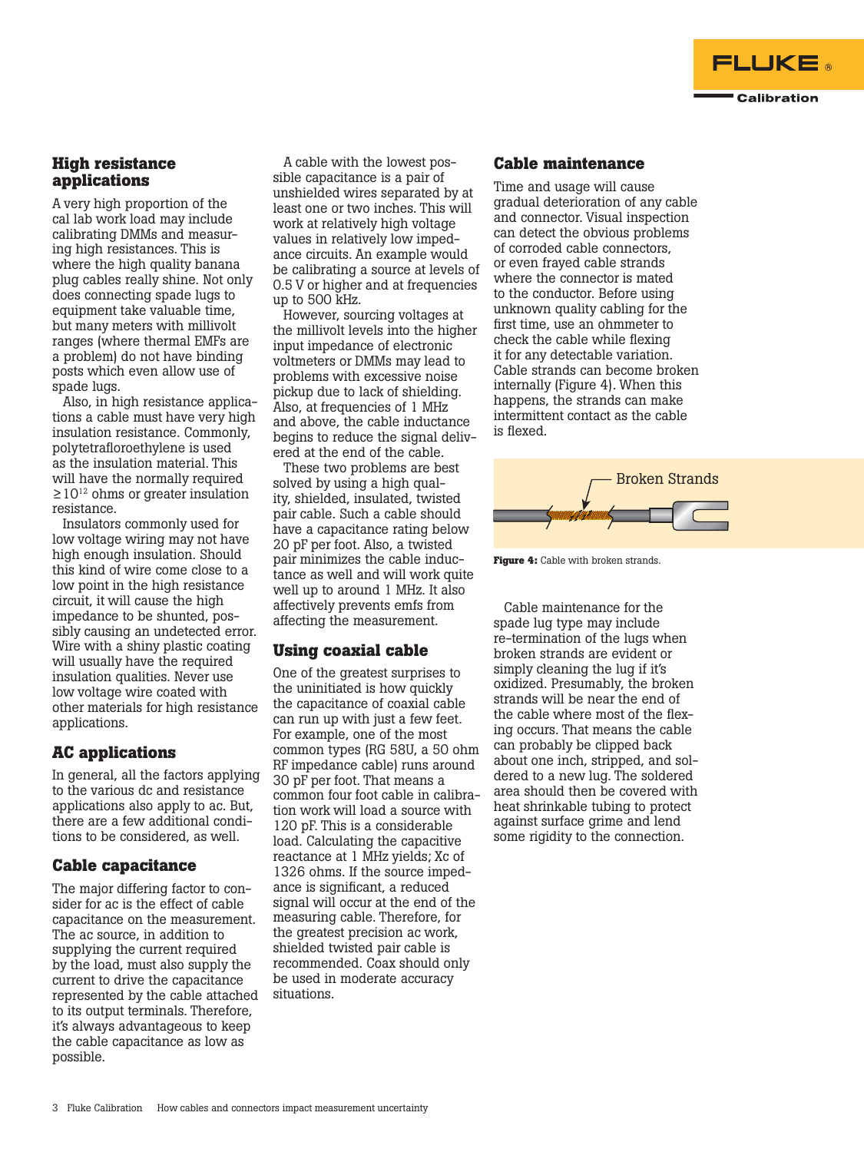

#### **High resistance applications**

A very high proportion of the cal lab work load may include calibrating DMMs and measuring high resistances. This is where the high quality banana plug cables really shine. Not only does connecting spade lugs to equipment take valuable time, but many meters with millivolt ranges (where thermal EMFs are a problem) do not have binding posts which even allow use of spade lugs.

Also, in high resistance applications a cable must have very high insulation resistance. Commonly, polytetrafloroethylene is used as the insulation material. This will have the normally required  $\geq 10^{12}$  ohms or greater insulation resistance.

Insulators commonly used for low voltage wiring may not have high enough insulation. Should this kind of wire come close to a low point in the high resistance circuit, it will cause the high impedance to be shunted, possibly causing an undetected error. Wire with a shiny plastic coating will usually have the required insulation qualities. Never use low voltage wire coated with other materials for high resistance applications.

## **AC applications**

In general, all the factors applying to the various dc and resistance applications also apply to ac. But, there are a few additional conditions to be considered, as well.

## **Cable capacitance**

The major differing factor to consider for ac is the effect of cable capacitance on the measurement. The ac source, in addition to supplying the current required by the load, must also supply the current to drive the capacitance represented by the cable attached to its output terminals. Therefore, it's always advantageous to keep the cable capacitance as low as possible.

A cable with the lowest possible capacitance is a pair of unshielded wires separated by at least one or two inches. This will work at relatively high voltage values in relatively low impedance circuits. An example would be calibrating a source at levels of 0.5 V or higher and at frequencies up to 500 kHz.

However, sourcing voltages at the millivolt levels into the higher input impedance of electronic voltmeters or DMMs may lead to problems with excessive noise pickup due to lack of shielding. Also, at frequencies of 1 MHz and above, the cable inductance begins to reduce the signal delivered at the end of the cable.

These two problems are best solved by using a high quality, shielded, insulated, twisted pair cable. Such a cable should have a capacitance rating below 20 pF per foot. Also, a twisted pair minimizes the cable inductance as well and will work quite well up to around 1 MHz. It also affectively prevents emfs from affecting the measurement.

## **Using coaxial cable**

One of the greatest surprises to the uninitiated is how quickly the capacitance of coaxial cable can run up with just a few feet. For example, one of the most common types (RG 58U, a 50 ohm RF impedance cable) runs around 30 pF per foot. That means a common four foot cable in calibration work will load a source with 120 pF. This is a considerable load. Calculating the capacitive reactance at 1 MHz yields; Xc of 1326 ohms. If the source impedance is significant, a reduced signal will occur at the end of the measuring cable. Therefore, for the greatest precision ac work, shielded twisted pair cable is recommended. Coax should only be used in moderate accuracy situations.

#### **Cable maintenance**

Time and usage will cause gradual deterioration of any cable and connector. Visual inspection can detect the obvious problems of corroded cable connectors, or even frayed cable strands where the connector is mated to the conductor. Before using unknown quality cabling for the first time, use an ohmmeter to check the cable while flexing it for any detectable variation. Cable strands can become broken internally (Figure 4). When this happens, the strands can make intermittent contact as the cable is flexed.



**Figure 4:** Cable with broken strands.

Cable maintenance for the spade lug type may include re-termination of the lugs when broken strands are evident or simply cleaning the lug if it's oxidized. Presumably, the broken strands will be near the end of the cable where most of the flexing occurs. That means the cable can probably be clipped back about one inch, stripped, and soldered to a new lug. The soldered area should then be covered with heat shrinkable tubing to protect against surface grime and lend some rigidity to the connection.